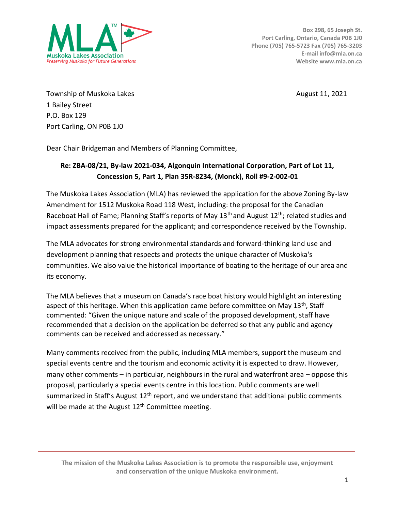

Township of Muskoka Lakes August 11, 2021 1 Bailey Street P.O. Box 129 Port Carling, ON P0B 1J0

Dear Chair Bridgeman and Members of Planning Committee,

## **Re: ZBA-08/21, By-law 2021-034, Algonquin International Corporation, Part of Lot 11, Concession 5, Part 1, Plan 35R-8234, (Monck), Roll #9-2-002-01**

The Muskoka Lakes Association (MLA) has reviewed the application for the above Zoning By-law Amendment for 1512 Muskoka Road 118 West, including: the proposal for the Canadian Raceboat Hall of Fame; Planning Staff's reports of May 13<sup>th</sup> and August 12<sup>th</sup>; related studies and impact assessments prepared for the applicant; and correspondence received by the Township.

The MLA advocates for strong environmental standards and forward-thinking land use and development planning that respects and protects the unique character of Muskoka's communities. We also value the historical importance of boating to the heritage of our area and its economy.

The MLA believes that a museum on Canada's race boat history would highlight an interesting aspect of this heritage. When this application came before committee on May  $13<sup>th</sup>$ , Staff commented: "Given the unique nature and scale of the proposed development, staff have recommended that a decision on the application be deferred so that any public and agency comments can be received and addressed as necessary."

Many comments received from the public, including MLA members, support the museum and special events centre and the tourism and economic activity it is expected to draw. However, many other comments – in particular, neighbours in the rural and waterfront area – oppose this proposal, particularly a special events centre in this location. Public comments are well summarized in Staff's August  $12<sup>th</sup>$  report, and we understand that additional public comments will be made at the August 12<sup>th</sup> Committee meeting.

**The mission of the Muskoka Lakes Association is to promote the responsible use, enjoyment and conservation of the unique Muskoka environment.**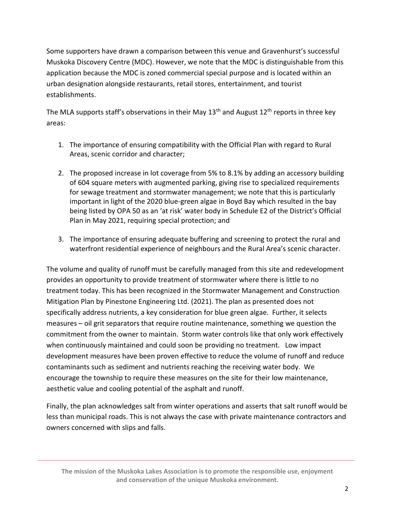Some supporters have drawn a comparison between this venue and Gravenhurst's successful Muskoka Discovery Centre (MDC). However, we note that the MDC is distinguishable from this application because the MDC is zoned commercial special purpose and is located within an urban designation alongside restaurants, retail stores, entertainment, and tourist establishments.

The MLA supports staff's observations in their May  $13<sup>th</sup>$  and August  $12<sup>th</sup>$  reports in three key areas:

- 1. The importance of ensuring compatibility with the Official Plan with regard to Rural Areas, scenic corridor and character;
- 2. The proposed increase in lot coverage from 5% to 8.1% by adding an accessory building of 604 square meters with augmented parking, giving rise to specialized requirements for sewage treatment and stormwater management; we note that this is particularly important in light of the 2020 blue-green algae in Boyd Bay which resulted in the bay being listed by OPA 50 as an 'at risk' water body in Schedule E2 of the District's Official Plan in May 2021, requiring special protection; and
- 3. The importance of ensuring adequate buffering and screening to protect the rural and waterfront residential experience of neighbours and the Rural Area's scenic character.

The volume and quality of runoff must be carefully managed from this site and redevelopment provides an opportunity to provide treatment of stormwater where there is little to no treatment today. This has been recognized in the Stormwater Management and Construction Mitigation Plan by Pinestone Engineering Ltd. (2021). The plan as presented does not specifically address nutrients, a key consideration for blue green algae. Further, it selects measures – oil grit separators that require routine maintenance, something we question the commitment from the owner to maintain. Storm water controls like that only work effectively when continuously maintained and could soon be providing no treatment. Low impact development measures have been proven effective to reduce the volume of runoff and reduce contaminants such as sediment and nutrients reaching the receiving water body. We encourage the township to require these measures on the site for their low maintenance, aesthetic value and cooling potential of the asphalt and runoff.

Finally, the plan acknowledges salt from winter operations and asserts that salt runoff would be less than municipal roads. This is not always the case with private maintenance contractors and owners concerned with slips and falls.

**The mission of the Muskoka Lakes Association is to promote the responsible use, enjoyment and conservation of the unique Muskoka environment.**